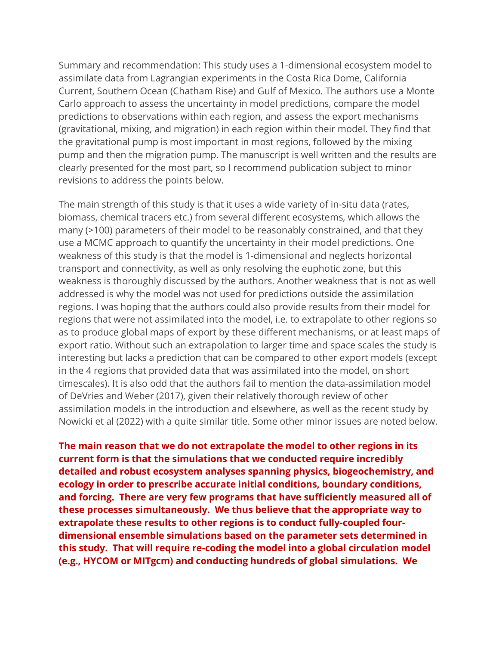Summary and recommendation: This study uses a 1-dimensional ecosystem model to assimilate data from Lagrangian experiments in the Costa Rica Dome, California Current, Southern Ocean (Chatham Rise) and Gulf of Mexico. The authors use a Monte Carlo approach to assess the uncertainty in model predictions, compare the model predictions to observations within each region, and assess the export mechanisms (gravitational, mixing, and migration) in each region within their model. They find that the gravitational pump is most important in most regions, followed by the mixing pump and then the migration pump. The manuscript is well written and the results are clearly presented for the most part, so I recommend publication subject to minor revisions to address the points below.

The main strength of this study is that it uses a wide variety of in-situ data (rates, biomass, chemical tracers etc.) from several different ecosystems, which allows the many (>100) parameters of their model to be reasonably constrained, and that they use a MCMC approach to quantify the uncertainty in their model predictions. One weakness of this study is that the model is 1-dimensional and neglects horizontal transport and connectivity, as well as only resolving the euphotic zone, but this weakness is thoroughly discussed by the authors. Another weakness that is not as well addressed is why the model was not used for predictions outside the assimilation regions. I was hoping that the authors could also provide results from their model for regions that were not assimilated into the model, i.e. to extrapolate to other regions so as to produce global maps of export by these different mechanisms, or at least maps of export ratio. Without such an extrapolation to larger time and space scales the study is interesting but lacks a prediction that can be compared to other export models (except in the 4 regions that provided data that was assimilated into the model, on short timescales). It is also odd that the authors fail to mention the data-assimilation model of DeVries and Weber (2017), given their relatively thorough review of other assimilation models in the introduction and elsewhere, as well as the recent study by Nowicki et al (2022) with a quite similar title. Some other minor issues are noted below.

**The main reason that we do not extrapolate the model to other regions in its current form is that the simulations that we conducted require incredibly detailed and robust ecosystem analyses spanning physics, biogeochemistry, and ecology in order to prescribe accurate initial conditions, boundary conditions, and forcing. There are very few programs that have sufficiently measured all of these processes simultaneously. We thus believe that the appropriate way to extrapolate these results to other regions is to conduct fully-coupled fourdimensional ensemble simulations based on the parameter sets determined in this study. That will require re-coding the model into a global circulation model (e.g., HYCOM or MITgcm) and conducting hundreds of global simulations. We**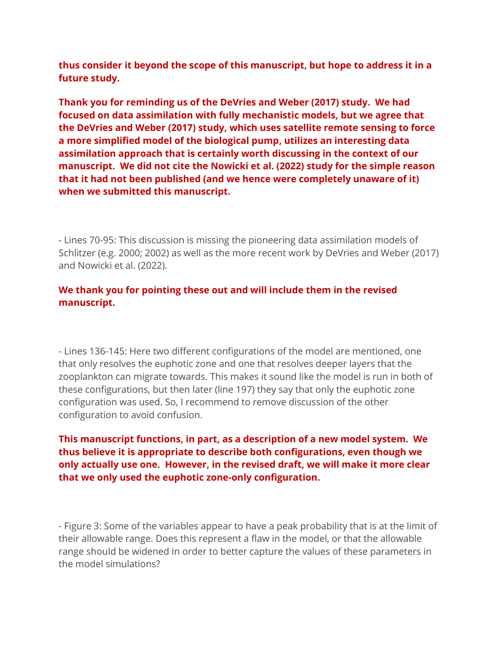**thus consider it beyond the scope of this manuscript, but hope to address it in a future study.**

**Thank you for reminding us of the DeVries and Weber (2017) study. We had focused on data assimilation with fully mechanistic models, but we agree that the DeVries and Weber (2017) study, which uses satellite remote sensing to force a more simplified model of the biological pump, utilizes an interesting data assimilation approach that is certainly worth discussing in the context of our manuscript. We did not cite the Nowicki et al. (2022) study for the simple reason that it had not been published (and we hence were completely unaware of it) when we submitted this manuscript.**

- Lines 70-95: This discussion is missing the pioneering data assimilation models of Schlitzer (e.g. 2000; 2002) as well as the more recent work by DeVries and Weber (2017) and Nowicki et al. (2022).

## **We thank you for pointing these out and will include them in the revised manuscript.**

- Lines 136-145: Here two different configurations of the model are mentioned, one that only resolves the euphotic zone and one that resolves deeper layers that the zooplankton can migrate towards. This makes it sound like the model is run in both of these configurations, but then later (line 197) they say that only the euphotic zone configuration was used. So, I recommend to remove discussion of the other configuration to avoid confusion.

# **This manuscript functions, in part, as a description of a new model system. We thus believe it is appropriate to describe both configurations, even though we only actually use one. However, in the revised draft, we will make it more clear that we only used the euphotic zone-only configuration.**

- Figure 3: Some of the variables appear to have a peak probability that is at the limit of their allowable range. Does this represent a flaw in the model, or that the allowable range should be widened in order to better capture the values of these parameters in the model simulations?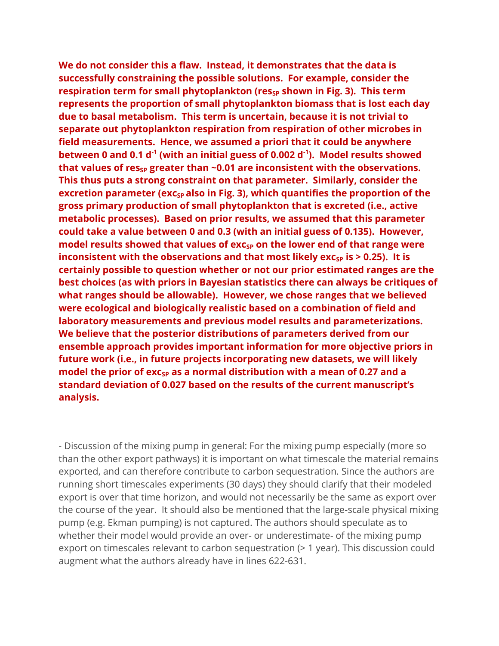**We do not consider this a flaw. Instead, it demonstrates that the data is successfully constraining the possible solutions. For example, consider the respiration term for small phytoplankton (res**<sub>SP</sub> shown in Fig. 3). This term **represents the proportion of small phytoplankton biomass that is lost each day due to basal metabolism. This term is uncertain, because it is not trivial to separate out phytoplankton respiration from respiration of other microbes in field measurements. Hence, we assumed a priori that it could be anywhere between 0 and 0.1 d-1 (with an initial guess of 0.002 d-1 ). Model results showed**  that values of res<sub>sp</sub> greater than ~0.01 are inconsistent with the observations. **This thus puts a strong constraint on that parameter. Similarly, consider the excretion parameter (exc<sub>SP</sub> also in Fig. 3), which quantifies the proportion of the gross primary production of small phytoplankton that is excreted (i.e., active metabolic processes). Based on prior results, we assumed that this parameter could take a value between 0 and 0.3 (with an initial guess of 0.135). However, model results showed that values of exc<sub>SP</sub> on the lower end of that range were inconsistent with the observations and that most likely**  $exc_{SP}$  **is**  $> 0.25$ **). It is certainly possible to question whether or not our prior estimated ranges are the best choices (as with priors in Bayesian statistics there can always be critiques of what ranges should be allowable). However, we chose ranges that we believed were ecological and biologically realistic based on a combination of field and laboratory measurements and previous model results and parameterizations. We believe that the posterior distributions of parameters derived from our ensemble approach provides important information for more objective priors in future work (i.e., in future projects incorporating new datasets, we will likely model the prior of exc<sub>SP</sub> as a normal distribution with a mean of 0.27 and a standard deviation of 0.027 based on the results of the current manuscript's analysis.**

- Discussion of the mixing pump in general: For the mixing pump especially (more so than the other export pathways) it is important on what timescale the material remains exported, and can therefore contribute to carbon sequestration. Since the authors are running short timescales experiments (30 days) they should clarify that their modeled export is over that time horizon, and would not necessarily be the same as export over the course of the year. It should also be mentioned that the large-scale physical mixing pump (e.g. Ekman pumping) is not captured. The authors should speculate as to whether their model would provide an over- or underestimate- of the mixing pump export on timescales relevant to carbon sequestration (> 1 year). This discussion could augment what the authors already have in lines 622-631.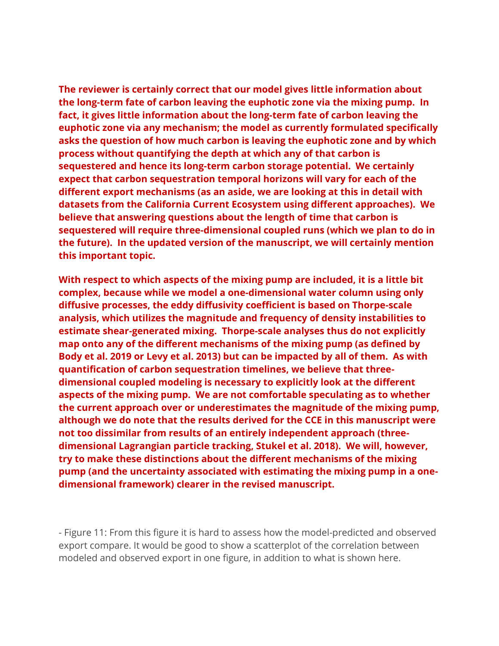**The reviewer is certainly correct that our model gives little information about the long-term fate of carbon leaving the euphotic zone via the mixing pump. In fact, it gives little information about the long-term fate of carbon leaving the euphotic zone via any mechanism; the model as currently formulated specifically asks the question of how much carbon is leaving the euphotic zone and by which process without quantifying the depth at which any of that carbon is sequestered and hence its long-term carbon storage potential. We certainly expect that carbon sequestration temporal horizons will vary for each of the different export mechanisms (as an aside, we are looking at this in detail with datasets from the California Current Ecosystem using different approaches). We believe that answering questions about the length of time that carbon is sequestered will require three-dimensional coupled runs (which we plan to do in the future). In the updated version of the manuscript, we will certainly mention this important topic.**

**With respect to which aspects of the mixing pump are included, it is a little bit complex, because while we model a one-dimensional water column using only diffusive processes, the eddy diffusivity coefficient is based on Thorpe-scale analysis, which utilizes the magnitude and frequency of density instabilities to estimate shear-generated mixing. Thorpe-scale analyses thus do not explicitly map onto any of the different mechanisms of the mixing pump (as defined by Body et al. 2019 or Levy et al. 2013) but can be impacted by all of them. As with quantification of carbon sequestration timelines, we believe that threedimensional coupled modeling is necessary to explicitly look at the different aspects of the mixing pump. We are not comfortable speculating as to whether the current approach over or underestimates the magnitude of the mixing pump, although we do note that the results derived for the CCE in this manuscript were not too dissimilar from results of an entirely independent approach (threedimensional Lagrangian particle tracking, Stukel et al. 2018). We will, however, try to make these distinctions about the different mechanisms of the mixing pump (and the uncertainty associated with estimating the mixing pump in a onedimensional framework) clearer in the revised manuscript.**

- Figure 11: From this figure it is hard to assess how the model-predicted and observed export compare. It would be good to show a scatterplot of the correlation between modeled and observed export in one figure, in addition to what is shown here.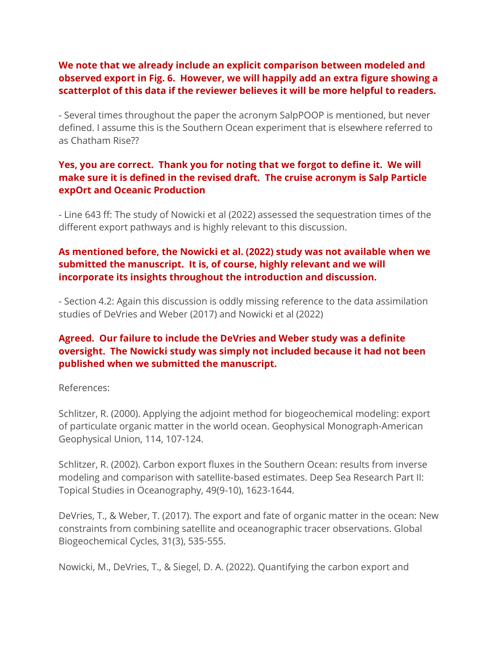# **We note that we already include an explicit comparison between modeled and observed export in Fig. 6. However, we will happily add an extra figure showing a scatterplot of this data if the reviewer believes it will be more helpful to readers.**

- Several times throughout the paper the acronym SalpPOOP is mentioned, but never defined. I assume this is the Southern Ocean experiment that is elsewhere referred to as Chatham Rise??

# **Yes, you are correct. Thank you for noting that we forgot to define it. We will make sure it is defined in the revised draft. The cruise acronym is Salp Particle expOrt and Oceanic Production**

- Line 643 ff: The study of Nowicki et al (2022) assessed the sequestration times of the different export pathways and is highly relevant to this discussion.

#### **As mentioned before, the Nowicki et al. (2022) study was not available when we submitted the manuscript. It is, of course, highly relevant and we will incorporate its insights throughout the introduction and discussion.**

- Section 4.2: Again this discussion is oddly missing reference to the data assimilation studies of DeVries and Weber (2017) and Nowicki et al (2022)

# **Agreed. Our failure to include the DeVries and Weber study was a definite oversight. The Nowicki study was simply not included because it had not been published when we submitted the manuscript.**

References:

Schlitzer, R. (2000). Applying the adjoint method for biogeochemical modeling: export of particulate organic matter in the world ocean. Geophysical Monograph-American Geophysical Union, 114, 107-124.

Schlitzer, R. (2002). Carbon export fluxes in the Southern Ocean: results from inverse modeling and comparison with satellite-based estimates. Deep Sea Research Part II: Topical Studies in Oceanography, 49(9-10), 1623-1644.

DeVries, T., & Weber, T. (2017). The export and fate of organic matter in the ocean: New constraints from combining satellite and oceanographic tracer observations. Global Biogeochemical Cycles, 31(3), 535-555.

Nowicki, M., DeVries, T., & Siegel, D. A. (2022). Quantifying the carbon export and